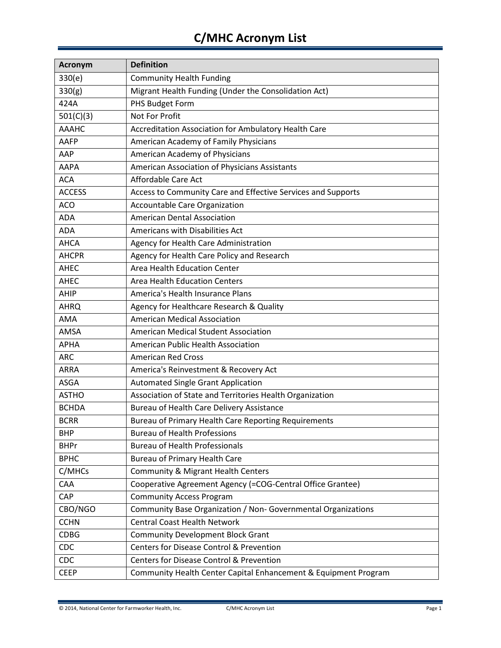## **C/MHC Acronym List**

| <b>Acronym</b> | <b>Definition</b>                                               |
|----------------|-----------------------------------------------------------------|
| 330(e)         | <b>Community Health Funding</b>                                 |
| 330(g)         | Migrant Health Funding (Under the Consolidation Act)            |
| 424A           | PHS Budget Form                                                 |
| 501(C)(3)      | Not For Profit                                                  |
| <b>AAAHC</b>   | Accreditation Association for Ambulatory Health Care            |
| AAFP           | American Academy of Family Physicians                           |
| AAP            | American Academy of Physicians                                  |
| <b>AAPA</b>    | American Association of Physicians Assistants                   |
| <b>ACA</b>     | Affordable Care Act                                             |
| <b>ACCESS</b>  | Access to Community Care and Effective Services and Supports    |
| <b>ACO</b>     | Accountable Care Organization                                   |
| <b>ADA</b>     | <b>American Dental Association</b>                              |
| <b>ADA</b>     | Americans with Disabilities Act                                 |
| <b>AHCA</b>    | Agency for Health Care Administration                           |
| <b>AHCPR</b>   | Agency for Health Care Policy and Research                      |
| <b>AHEC</b>    | Area Health Education Center                                    |
| AHEC           | <b>Area Health Education Centers</b>                            |
| AHIP           | America's Health Insurance Plans                                |
| <b>AHRQ</b>    | Agency for Healthcare Research & Quality                        |
| AMA            | <b>American Medical Association</b>                             |
| AMSA           | American Medical Student Association                            |
| <b>APHA</b>    | American Public Health Association                              |
| <b>ARC</b>     | <b>American Red Cross</b>                                       |
| ARRA           | America's Reinvestment & Recovery Act                           |
| <b>ASGA</b>    | <b>Automated Single Grant Application</b>                       |
| <b>ASTHO</b>   | Association of State and Territories Health Organization        |
| <b>BCHDA</b>   | <b>Bureau of Health Care Delivery Assistance</b>                |
| <b>BCRR</b>    | Bureau of Primary Health Care Reporting Requirements            |
| <b>BHP</b>     | <b>Bureau of Health Professions</b>                             |
| <b>BHPr</b>    | <b>Bureau of Health Professionals</b>                           |
| <b>BPHC</b>    | <b>Bureau of Primary Health Care</b>                            |
| C/MHCs         | <b>Community &amp; Migrant Health Centers</b>                   |
| CAA            | Cooperative Agreement Agency (=COG-Central Office Grantee)      |
| CAP            | <b>Community Access Program</b>                                 |
| CBO/NGO        | Community Base Organization / Non- Governmental Organizations   |
| <b>CCHN</b>    | <b>Central Coast Health Network</b>                             |
| <b>CDBG</b>    | <b>Community Development Block Grant</b>                        |
| CDC            | Centers for Disease Control & Prevention                        |
| CDC            | Centers for Disease Control & Prevention                        |
| <b>CEEP</b>    | Community Health Center Capital Enhancement & Equipment Program |

© 2014, National Center for Farmworker Health, Inc. C/MHC Acronym List Page 1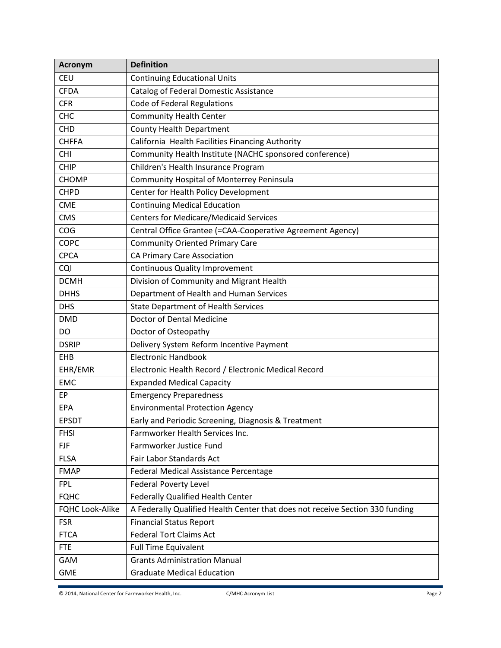| <b>Acronym</b>         | <b>Definition</b>                                                             |
|------------------------|-------------------------------------------------------------------------------|
| <b>CEU</b>             | <b>Continuing Educational Units</b>                                           |
| <b>CFDA</b>            | <b>Catalog of Federal Domestic Assistance</b>                                 |
| <b>CFR</b>             | Code of Federal Regulations                                                   |
| <b>CHC</b>             | <b>Community Health Center</b>                                                |
| <b>CHD</b>             | <b>County Health Department</b>                                               |
| <b>CHFFA</b>           | California Health Facilities Financing Authority                              |
| CHI                    | Community Health Institute (NACHC sponsored conference)                       |
| <b>CHIP</b>            | Children's Health Insurance Program                                           |
| <b>CHOMP</b>           | Community Hospital of Monterrey Peninsula                                     |
| <b>CHPD</b>            | Center for Health Policy Development                                          |
| <b>CME</b>             | <b>Continuing Medical Education</b>                                           |
| <b>CMS</b>             | <b>Centers for Medicare/Medicaid Services</b>                                 |
| COG                    | Central Office Grantee (=CAA-Cooperative Agreement Agency)                    |
| COPC                   | <b>Community Oriented Primary Care</b>                                        |
| <b>CPCA</b>            | <b>CA Primary Care Association</b>                                            |
| CQI                    | <b>Continuous Quality Improvement</b>                                         |
| <b>DCMH</b>            | Division of Community and Migrant Health                                      |
| <b>DHHS</b>            | Department of Health and Human Services                                       |
| <b>DHS</b>             | <b>State Department of Health Services</b>                                    |
| <b>DMD</b>             | Doctor of Dental Medicine                                                     |
| DO                     | Doctor of Osteopathy                                                          |
| <b>DSRIP</b>           | Delivery System Reform Incentive Payment                                      |
| EHB                    | <b>Electronic Handbook</b>                                                    |
| EHR/EMR                | Electronic Health Record / Electronic Medical Record                          |
| <b>EMC</b>             | <b>Expanded Medical Capacity</b>                                              |
| EP                     | <b>Emergency Preparedness</b>                                                 |
| EPA                    | <b>Environmental Protection Agency</b>                                        |
| <b>EPSDT</b>           | Early and Periodic Screening, Diagnosis & Treatment                           |
| <b>FHSI</b>            | Farmworker Health Services Inc.                                               |
| <b>FJF</b>             | Farmworker Justice Fund                                                       |
| <b>FLSA</b>            | Fair Labor Standards Act                                                      |
| <b>FMAP</b>            | Federal Medical Assistance Percentage                                         |
| <b>FPL</b>             | <b>Federal Poverty Level</b>                                                  |
| <b>FQHC</b>            | Federally Qualified Health Center                                             |
| <b>FQHC Look-Alike</b> | A Federally Qualified Health Center that does not receive Section 330 funding |
| <b>FSR</b>             | <b>Financial Status Report</b>                                                |
| <b>FTCA</b>            | <b>Federal Tort Claims Act</b>                                                |
| <b>FTE</b>             | <b>Full Time Equivalent</b>                                                   |
| GAM                    | <b>Grants Administration Manual</b>                                           |
| <b>GME</b>             | <b>Graduate Medical Education</b>                                             |

© 2014, National Center for Farmworker Health, Inc. C/MHC Acronym List Page 2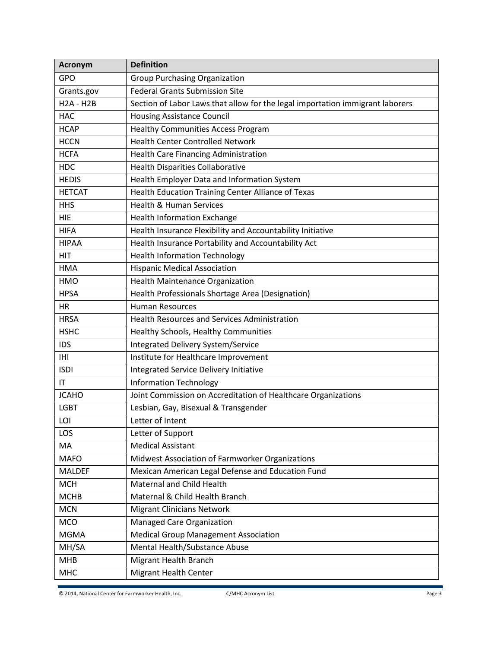| <b>Acronym</b>   | <b>Definition</b>                                                             |
|------------------|-------------------------------------------------------------------------------|
| GPO              | <b>Group Purchasing Organization</b>                                          |
| Grants.gov       | <b>Federal Grants Submission Site</b>                                         |
| <b>H2A - H2B</b> | Section of Labor Laws that allow for the legal importation immigrant laborers |
| <b>HAC</b>       | <b>Housing Assistance Council</b>                                             |
| <b>HCAP</b>      | <b>Healthy Communities Access Program</b>                                     |
| <b>HCCN</b>      | <b>Health Center Controlled Network</b>                                       |
| <b>HCFA</b>      | Health Care Financing Administration                                          |
| <b>HDC</b>       | <b>Health Disparities Collaborative</b>                                       |
| <b>HEDIS</b>     | Health Employer Data and Information System                                   |
| <b>HETCAT</b>    | Health Education Training Center Alliance of Texas                            |
| <b>HHS</b>       | <b>Health &amp; Human Services</b>                                            |
| <b>HIE</b>       | <b>Health Information Exchange</b>                                            |
| <b>HIFA</b>      | Health Insurance Flexibility and Accountability Initiative                    |
| <b>HIPAA</b>     | Health Insurance Portability and Accountability Act                           |
| <b>HIT</b>       | <b>Health Information Technology</b>                                          |
| <b>HMA</b>       | <b>Hispanic Medical Association</b>                                           |
| <b>HMO</b>       | <b>Health Maintenance Organization</b>                                        |
| <b>HPSA</b>      | Health Professionals Shortage Area (Designation)                              |
| HR               | <b>Human Resources</b>                                                        |
| <b>HRSA</b>      | <b>Health Resources and Services Administration</b>                           |
| <b>HSHC</b>      | Healthy Schools, Healthy Communities                                          |
| <b>IDS</b>       | Integrated Delivery System/Service                                            |
| <b>IHI</b>       | Institute for Healthcare Improvement                                          |
| <b>ISDI</b>      | Integrated Service Delivery Initiative                                        |
| IT               | <b>Information Technology</b>                                                 |
| <b>JCAHO</b>     | Joint Commission on Accreditation of Healthcare Organizations                 |
| <b>LGBT</b>      | Lesbian, Gay, Bisexual & Transgender                                          |
| LOI              | Letter of Intent                                                              |
| LOS              | Letter of Support                                                             |
| MA               | <b>Medical Assistant</b>                                                      |
| <b>MAFO</b>      | Midwest Association of Farmworker Organizations                               |
| <b>MALDEF</b>    | Mexican American Legal Defense and Education Fund                             |
| <b>MCH</b>       | Maternal and Child Health                                                     |
| <b>MCHB</b>      | Maternal & Child Health Branch                                                |
| <b>MCN</b>       | <b>Migrant Clinicians Network</b>                                             |
| <b>MCO</b>       | Managed Care Organization                                                     |
| <b>MGMA</b>      | <b>Medical Group Management Association</b>                                   |
| MH/SA            | Mental Health/Substance Abuse                                                 |
| <b>MHB</b>       | Migrant Health Branch                                                         |
| <b>MHC</b>       | <b>Migrant Health Center</b>                                                  |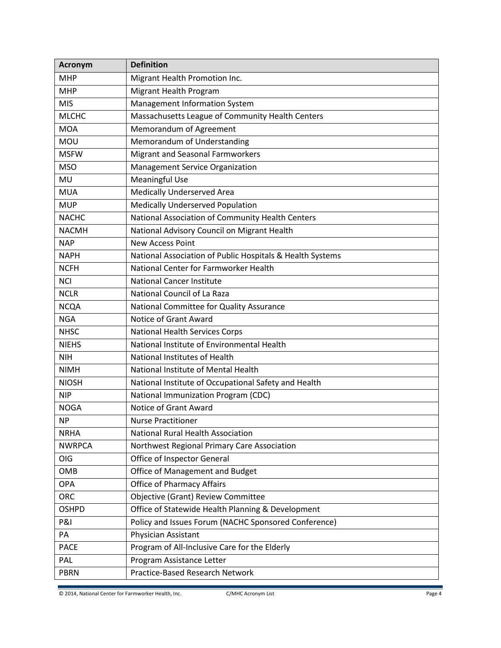| <b>Acronym</b> | <b>Definition</b>                                         |
|----------------|-----------------------------------------------------------|
| <b>MHP</b>     | Migrant Health Promotion Inc.                             |
| <b>MHP</b>     | <b>Migrant Health Program</b>                             |
| <b>MIS</b>     | Management Information System                             |
| <b>MLCHC</b>   | Massachusetts League of Community Health Centers          |
| <b>MOA</b>     | Memorandum of Agreement                                   |
| MOU            | Memorandum of Understanding                               |
| <b>MSFW</b>    | Migrant and Seasonal Farmworkers                          |
| <b>MSO</b>     | Management Service Organization                           |
| <b>MU</b>      | <b>Meaningful Use</b>                                     |
| <b>MUA</b>     | <b>Medically Underserved Area</b>                         |
| <b>MUP</b>     | <b>Medically Underserved Population</b>                   |
| <b>NACHC</b>   | National Association of Community Health Centers          |
| <b>NACMH</b>   | National Advisory Council on Migrant Health               |
| <b>NAP</b>     | <b>New Access Point</b>                                   |
| <b>NAPH</b>    | National Association of Public Hospitals & Health Systems |
| <b>NCFH</b>    | National Center for Farmworker Health                     |
| <b>NCI</b>     | <b>National Cancer Institute</b>                          |
| <b>NCLR</b>    | National Council of La Raza                               |
| <b>NCQA</b>    | National Committee for Quality Assurance                  |
| <b>NGA</b>     | Notice of Grant Award                                     |
| <b>NHSC</b>    | <b>National Health Services Corps</b>                     |
| <b>NIEHS</b>   | National Institute of Environmental Health                |
| <b>NIH</b>     | National Institutes of Health                             |
| <b>NIMH</b>    | National Institute of Mental Health                       |
| <b>NIOSH</b>   | National Institute of Occupational Safety and Health      |
| <b>NIP</b>     | National Immunization Program (CDC)                       |
| <b>NOGA</b>    | Notice of Grant Award                                     |
| <b>NP</b>      | <b>Nurse Practitioner</b>                                 |
| <b>NRHA</b>    | <b>National Rural Health Association</b>                  |
| <b>NWRPCA</b>  | Northwest Regional Primary Care Association               |
| OIG            | Office of Inspector General                               |
| OMB            | Office of Management and Budget                           |
| <b>OPA</b>     | <b>Office of Pharmacy Affairs</b>                         |
| ORC            | Objective (Grant) Review Committee                        |
| <b>OSHPD</b>   | Office of Statewide Health Planning & Development         |
| <b>P&amp;I</b> | Policy and Issues Forum (NACHC Sponsored Conference)      |
| PA             | Physician Assistant                                       |
| <b>PACE</b>    | Program of All-Inclusive Care for the Elderly             |
| PAL            | Program Assistance Letter                                 |
| <b>PBRN</b>    | Practice-Based Research Network                           |

© 2014, National Center for Farmworker Health, Inc. C/MHC Acronym List Page 4